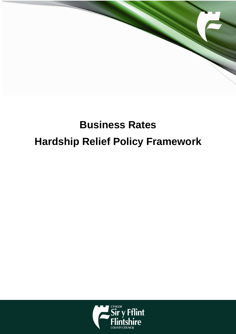

# **Business Rates Hardship Relief Policy Framework**

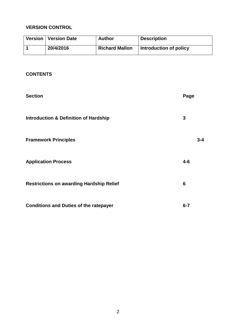## **VERSION CONTROL**

| Version   Version Date | <b>Author</b>         | <b>Description</b>     |
|------------------------|-----------------------|------------------------|
| 20/4/2016              | <b>Richard Mallon</b> | Introduction of policy |

## **CONTENTS**

| <b>Section</b>                                   |         | Page    |  |
|--------------------------------------------------|---------|---------|--|
| <b>Introduction &amp; Definition of Hardship</b> | 3       |         |  |
| <b>Framework Principles</b>                      |         | $3 - 4$ |  |
| <b>Application Process</b>                       | $4 - 6$ |         |  |
| <b>Restrictions on awarding Hardship Relief</b>  |         |         |  |
| <b>Conditions and Duties of the ratepayer</b>    | $6 - 7$ |         |  |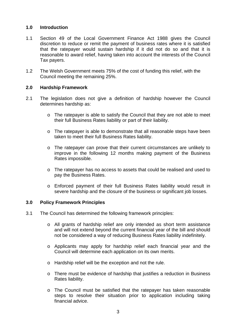#### **1.0 Introduction**

- 1.1 Section 49 of the Local Government Finance Act 1988 gives the Council discretion to reduce or remit the payment of business rates where it is satisfied that the ratepayer would sustain hardship if it did not do so and that it is reasonable to award relief, having taken into account the interests of the Council Tax payers.
- 1.2 The Welsh Government meets 75% of the cost of funding this relief, with the Council meeting the remaining 25%.

#### **2.0 Hardship Framework**

- 2.1 The legislation does not give a definition of hardship however the Council determines hardship as:
	- o The ratepayer is able to satisfy the Council that they are not able to meet their full Business Rates liability or part of their liability.
	- $\circ$  The ratepayer is able to demonstrate that all reasonable steps have been taken to meet their full Business Rates liability.
	- $\circ$  The ratepayer can prove that their current circumstances are unlikely to improve in the following 12 months making payment of the Business Rates impossible.
	- o The ratepayer has no access to assets that could be realised and used to pay the Business Rates.
	- o Enforced payment of their full Business Rates liability would result in severe hardship and the closure of the business or significant job losses.

#### **3.0 Policy Framework Principles**

- 3.1 The Council has determined the following framework principles:
	- o All grants of hardship relief are only intended as short term assistance and will not extend beyond the current financial year of the bill and should not be considered a way of reducing Business Rates liability indefinitely.
	- o Applicants may apply for hardship relief each financial year and the Council will determine each application on its own merits.
	- o Hardship relief will be the exception and not the rule.
	- o There must be evidence of hardship that justifies a reduction in Business Rates liability.
	- o The Council must be satisfied that the ratepayer has taken reasonable steps to resolve their situation prior to application including taking financial advice.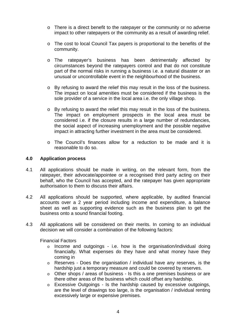- o There is a direct benefit to the ratepayer or the community or no adverse impact to other ratepayers or the community as a result of awarding relief.
- o The cost to local Council Tax payers is proportional to the benefits of the community.
- o The ratepayer's business has been detrimentally affected by circumstances beyond the ratepayers control and that do not constitute part of the normal risks in running a business i.e. a natural disaster or an unusual or uncontrollable event in the neighbourhood of the business.
- $\circ$  By refusing to award the relief this may result in the loss of the business. The impact on local amenities must be considered if the business is the sole provider of a service in the local area i.e. the only village shop.
- o By refusing to award the relief this may result in the loss of the business. The impact on employment prospects in the local area must be considered i.e. if the closure results in a large number of redundancies, the social aspect of increasing unemployment and the possible negative impact in attracting further investment in the area must be considered.
- o The Council's finances allow for a reduction to be made and it is reasonable to do so.

#### **4.0 Application process**

- 4.1 All applications should be made in writing, on the relevant form, from the ratepayer, their advocate/appointee or a recognised third party acting on their behalf, who the Council has accepted, and the ratepayer has given appropriate authorisation to them to discuss their affairs.
- 4.2 All applications should be supported, where applicable, by audited financial accounts over a 2 year period including income and expenditure, a balance sheet as well as supporting evidence such as the business plan to get the business onto a sound financial footing.
- 4.3 All applications will be considered on their merits. In coming to an individual decision we will consider a combination of the following factors:

Financial Factors

- $\circ$  Income and outgoings i.e. how is the organisation/individual doing financially. What expenses do they have and what money have they coming in
- o Reserves Does the organisation / individual have any reserves, is the hardship just a temporary measure and could be covered by reserves.
- o Other shops / areas of business Is this a one premises business or are there other areas of the business which could offset any hardship.
- o Excessive Outgoings Is the hardship caused by excessive outgoings, are the level of drawings too large, is the organisation / individual renting excessively large or expensive premises.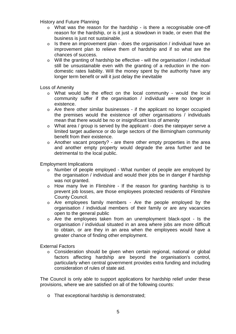History and Future Planning

- o What was the reason for the hardship is there a recognisable one-off reason for the hardship, or is it just a slowdown in trade, or even that the business is just not sustainable.
- $\circ$  Is there an improvement plan does the organisation / individual have an improvement plan to relieve them of hardship and if so what are the chances of success.
- o Will the granting of hardship be effective will the organisation / individual still be unsustainable even with the granting of a reduction in the nondomestic rates liability. Will the money spent by the authority have any longer term benefit or will it just delay the inevitable

Loss of Amenity

- o What would be the effect on the local community would the local community suffer if the organisation / individual were no longer in existence.
- o Are there other similar businesses if the applicant no longer occupied the premises would the existence of other organisations / individuals mean that there would be no or insignificant loss of amenity
- o What area / group is served by the applicant does the ratepayer serve a limited target audience or do large sectors of the Birmingham community benefit from their existence.
- o Another vacant property? are there other empty properties in the area and another empty property would degrade the area further and be detrimental to the local public.

Employment Implications

- o Number of people employed What number of people are employed by the organisation / individual and would their jobs be in danger if hardship was not granted.
- o How many live in Flintshire If the reason for granting hardship is to prevent job losses, are those employees protected residents of Flintshire County Council.
- o Are employees family members Are the people employed by the organisation / individual members of their family or are any vacancies open to the general public
- o Are the employees taken from an unemployment black-spot Is the organisation / individual situated in an area where jobs are more difficult to obtain, or are they in an area when the employees would have a greater chance of finding other employment.

External Factors

o Consideration should be given when certain regional, national or global factors affecting hardship are beyond the organisation's control, particularly when central government provides extra funding and including consideration of rules of state aid.

The Council is only able to support applications for hardship relief under these provisions, where we are satisfied on all of the following counts:

o That exceptional hardship is demonstrated;